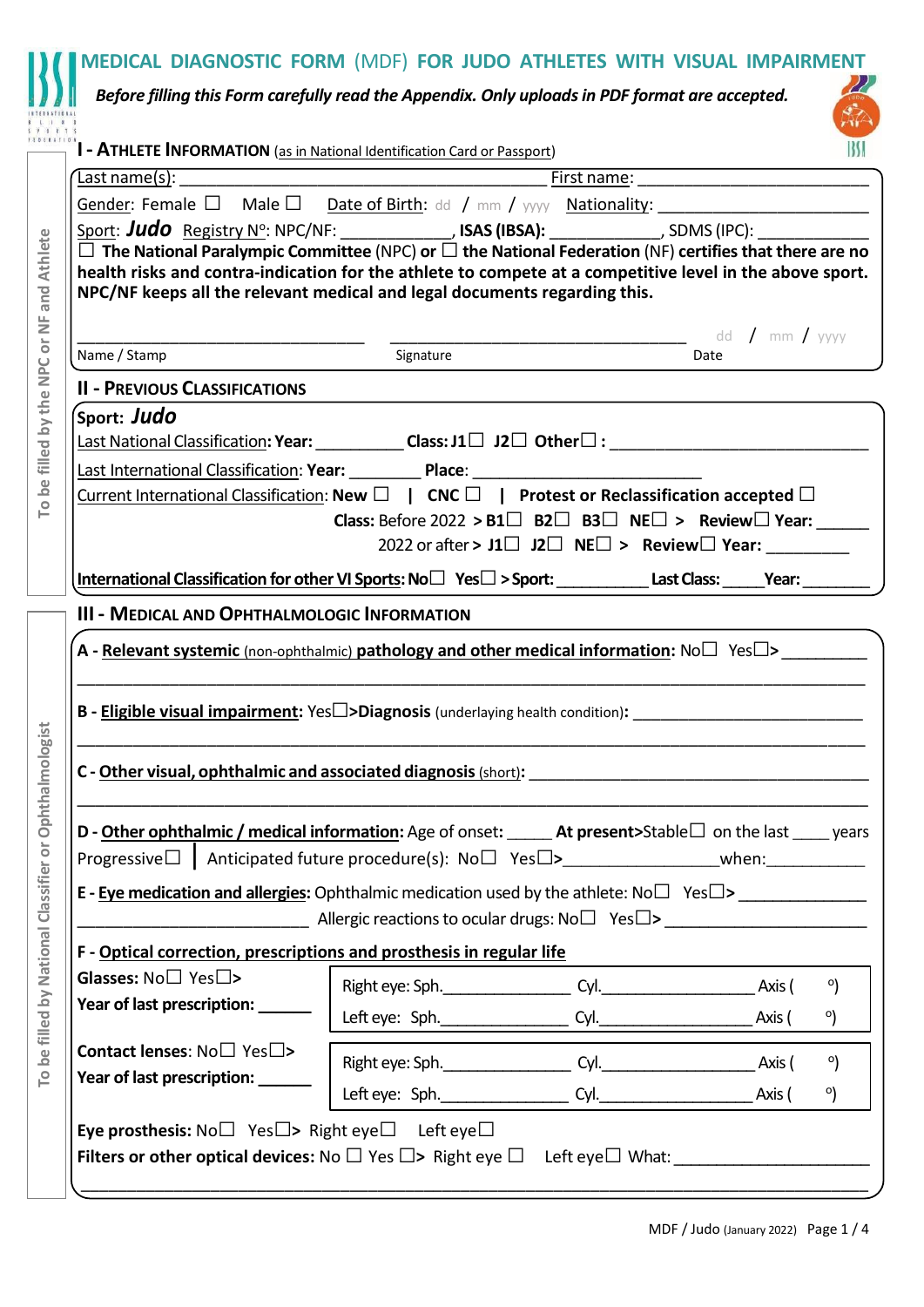| <b>I - ATHLETE INFORMATION</b> (as in National Identification Card or Passport) |                                                                                                                                                                                                                                                                                                            |         |
|---------------------------------------------------------------------------------|------------------------------------------------------------------------------------------------------------------------------------------------------------------------------------------------------------------------------------------------------------------------------------------------------------|---------|
|                                                                                 |                                                                                                                                                                                                                                                                                                            |         |
|                                                                                 |                                                                                                                                                                                                                                                                                                            |         |
|                                                                                 | Sport: Judo Registry N <sup>o</sup> : NPC/NF: _____________, ISAS (IBSA): ____________, SDMS (IPC): ____________                                                                                                                                                                                           |         |
|                                                                                 | $\Box$ The National Paralympic Committee (NPC) or $\Box$ the National Federation (NF) certifies that there are no<br>health risks and contra-indication for the athlete to compete at a competitive level in the above sport.<br>NPC/NF keeps all the relevant medical and legal documents regarding this. |         |
|                                                                                 | dd / mm / yyyy<br>Signature                                                                                                                                                                                                                                                                                |         |
| Name / Stamp                                                                    | Date                                                                                                                                                                                                                                                                                                       |         |
| <b>II - PREVIOUS CLASSIFICATIONS</b>                                            |                                                                                                                                                                                                                                                                                                            |         |
| Sport: Judo                                                                     |                                                                                                                                                                                                                                                                                                            |         |
|                                                                                 |                                                                                                                                                                                                                                                                                                            |         |
|                                                                                 | Last International Classification: Year: Place: Place: Place: Place: Place: Place: Place: Place: Place: Place: Place: Place: Place: Place: Place: Place: Place: Place: Place: Place: Place: Place: Place: Place: Place: Place:                                                                             |         |
|                                                                                 | Current International Classification: New $\Box$   CNC $\Box$   Protest or Reclassification accepted $\Box$                                                                                                                                                                                                |         |
|                                                                                 | <b>Class:</b> Before 2022 > $B1\Box$ $B2\Box$ $B3\Box$ $NE\Box$ > Review $\Box$ Year:                                                                                                                                                                                                                      |         |
|                                                                                 | 2022 or after > $J1 \Box$ $J2 \Box$ NE $\Box$ > Review $\Box$ Year:                                                                                                                                                                                                                                        |         |
|                                                                                 |                                                                                                                                                                                                                                                                                                            |         |
|                                                                                 |                                                                                                                                                                                                                                                                                                            |         |
|                                                                                 |                                                                                                                                                                                                                                                                                                            |         |
| <b>III - MEDICAL AND OPHTHALMOLOGIC INFORMATION</b>                             |                                                                                                                                                                                                                                                                                                            |         |
|                                                                                 | A - Relevant systemic (non-ophthalmic) pathology and other medical information: No $\square$ Yes $\square$ >                                                                                                                                                                                               |         |
|                                                                                 |                                                                                                                                                                                                                                                                                                            |         |
|                                                                                 |                                                                                                                                                                                                                                                                                                            |         |
|                                                                                 | <b>B - Eligible visual impairment:</b> Yes $\square$ >Diagnosis (underlaying health condition):                                                                                                                                                                                                            |         |
|                                                                                 |                                                                                                                                                                                                                                                                                                            |         |
|                                                                                 | C - Other visual, ophthalmic and associated diagnosis (short): C- Other visual, contract to the contract of the contract of the contract of the contract of the contract of the contract of the contract of the contract of th                                                                             |         |
|                                                                                 |                                                                                                                                                                                                                                                                                                            |         |
|                                                                                 | D - Other ophthalmic / medical information: Age of onset: _____ At present>Stable□ on the last ____ years                                                                                                                                                                                                  |         |
|                                                                                 |                                                                                                                                                                                                                                                                                                            |         |
|                                                                                 |                                                                                                                                                                                                                                                                                                            |         |
|                                                                                 |                                                                                                                                                                                                                                                                                                            |         |
|                                                                                 | <b>Netallary Allergic reactions to ocular drugs: No</b> □ Yes□> <u>Netallary Netallary Netallary Netallary Netallary Neta</u>                                                                                                                                                                              |         |
|                                                                                 | F - Optical correction, prescriptions and prosthesis in regular life                                                                                                                                                                                                                                       |         |
| Glasses: $No\square$ Yes $\square$ >                                            |                                                                                                                                                                                                                                                                                                            | $\circ$ |
| Year of last prescription: ______                                               |                                                                                                                                                                                                                                                                                                            |         |
|                                                                                 |                                                                                                                                                                                                                                                                                                            | °)      |
| <b>Contact lenses:</b> $No \square$ Yes $\square$ >                             |                                                                                                                                                                                                                                                                                                            | $\circ$ |
|                                                                                 |                                                                                                                                                                                                                                                                                                            |         |
| Year of last prescription: ______                                               | Left eye: Sph. Cyl. Cyl. Axis (                                                                                                                                                                                                                                                                            | °)      |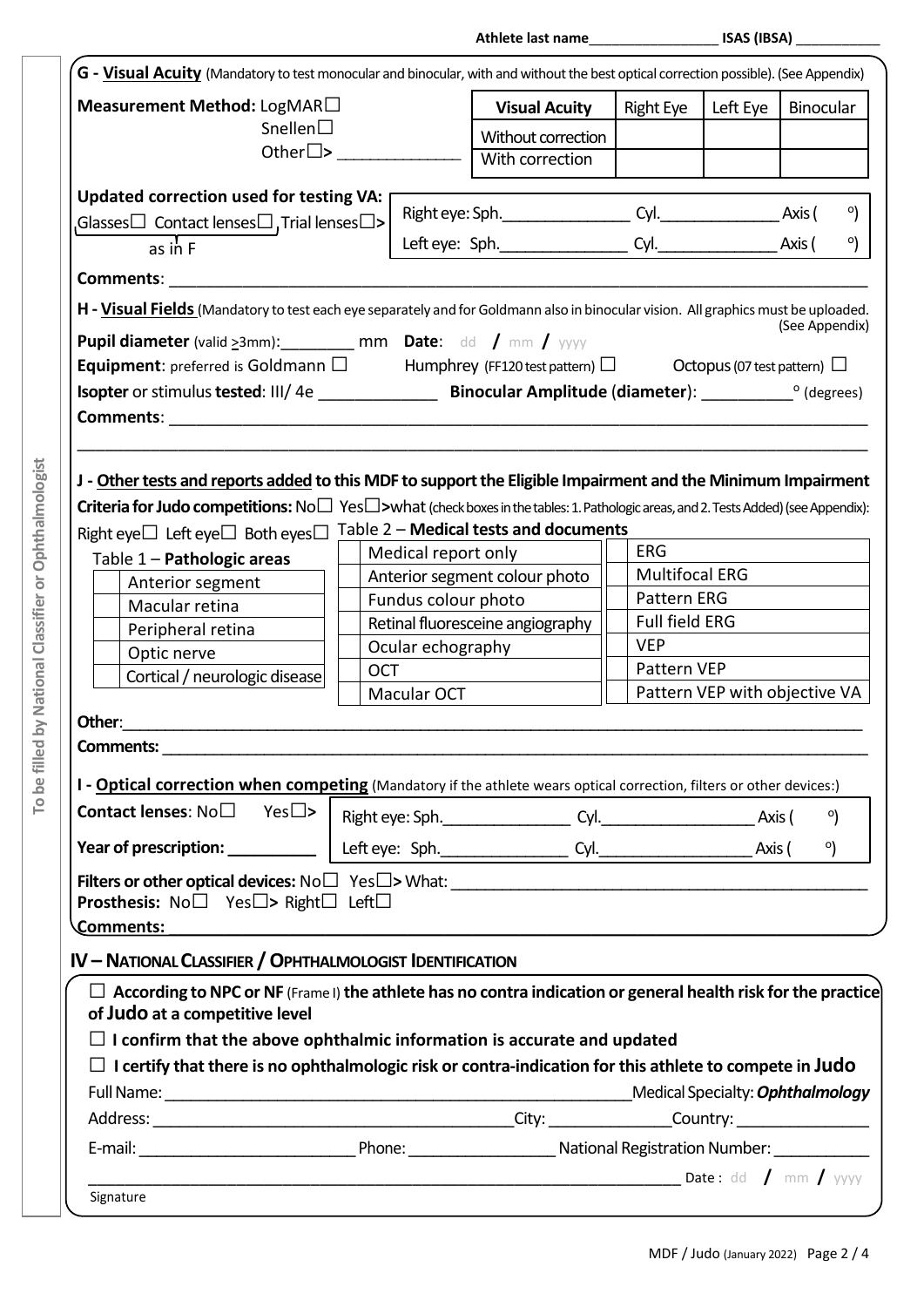**Athlete last name**\_\_\_\_\_\_\_\_\_\_\_\_\_\_\_\_\_ **ISAS (IBSA)** \_\_\_\_\_\_\_\_\_\_\_

| Measurement Method: LogMAR $\Box$                                                                                                                                                                             |            |                                                                                                                       | <b>Visual Acuity</b> | <b>Right Eye</b>      | Left Eye                         | Binocular      |            |
|---------------------------------------------------------------------------------------------------------------------------------------------------------------------------------------------------------------|------------|-----------------------------------------------------------------------------------------------------------------------|----------------------|-----------------------|----------------------------------|----------------|------------|
| Snellen $\square$                                                                                                                                                                                             |            |                                                                                                                       | Without correction   |                       |                                  |                |            |
|                                                                                                                                                                                                               |            |                                                                                                                       | With correction      |                       |                                  |                |            |
|                                                                                                                                                                                                               |            |                                                                                                                       |                      |                       |                                  |                |            |
| Updated correction used for testing VA:                                                                                                                                                                       |            |                                                                                                                       |                      |                       |                                  |                |            |
| Glasses $\Box$ Contact lenses $\Box$ , Trial lenses $\Box$ >                                                                                                                                                  |            |                                                                                                                       |                      |                       |                                  |                | $^{\circ}$ |
| as in $F$                                                                                                                                                                                                     |            |                                                                                                                       |                      |                       |                                  | $\circ$        |            |
| <b>Comments: Comments: Comments: Comments:</b>                                                                                                                                                                |            |                                                                                                                       |                      |                       |                                  |                |            |
| H - Visual Fields (Mandatory to test each eye separately and for Goldmann also in binocular vision. All graphics must be uploaded.                                                                            |            |                                                                                                                       |                      |                       |                                  |                |            |
|                                                                                                                                                                                                               |            |                                                                                                                       |                      |                       |                                  | (See Appendix) |            |
| Pupil diameter (valid $\geq 3$ mm): __________ mm Date: dd / mm / yyyy                                                                                                                                        |            |                                                                                                                       |                      |                       |                                  |                |            |
| <b>Equipment:</b> preferred is Goldmann $\Box$ Humphrey (FF120 test pattern) $\Box$ Octopus (07 test pattern) $\Box$                                                                                          |            |                                                                                                                       |                      |                       |                                  |                |            |
|                                                                                                                                                                                                               |            |                                                                                                                       |                      |                       |                                  |                |            |
| <b>Comments: Comments: Comments: Comments: Comments: Comments: Comments: Comments: Comments: Comments: Comments: Comments: Comments: Comments: Comments: Comments: Comments: Comments: Comme</b>              |            |                                                                                                                       |                      |                       |                                  |                |            |
| J - Other tests and reports added to this MDF to support the Eligible Impairment and the Minimum Impairment                                                                                                   |            |                                                                                                                       |                      |                       |                                  |                |            |
| <b>Criteria for Judo competitions:</b> $No \Box$ Yes $\square$ >what (check boxes in the tables: 1. Pathologic areas, and 2. Tests Added) (see Appendix):                                                     |            |                                                                                                                       |                      |                       |                                  |                |            |
| Right eye $\Box$ Left eye $\Box$ Both eyes $\Box$                                                                                                                                                             |            | Table 2 - Medical tests and documents                                                                                 |                      |                       |                                  |                |            |
| Table 1 - Pathologic areas                                                                                                                                                                                    |            | Medical report only                                                                                                   |                      | <b>ERG</b>            |                                  |                |            |
| Anterior segment                                                                                                                                                                                              |            | Anterior segment colour photo                                                                                         |                      | <b>Multifocal ERG</b> |                                  |                |            |
| Macular retina                                                                                                                                                                                                |            | Fundus colour photo                                                                                                   |                      | Pattern ERG           |                                  |                |            |
| Peripheral retina                                                                                                                                                                                             |            | Retinal fluoresceine angiography                                                                                      |                      | <b>Full field ERG</b> |                                  |                |            |
| Optic nerve                                                                                                                                                                                                   |            | Ocular echography                                                                                                     |                      | <b>VEP</b>            |                                  |                |            |
| Cortical / neurologic disease                                                                                                                                                                                 | <b>OCT</b> |                                                                                                                       |                      | Pattern VEP           |                                  |                |            |
|                                                                                                                                                                                                               |            | Macular OCT                                                                                                           |                      |                       | Pattern VEP with objective VA    |                |            |
| Other:                                                                                                                                                                                                        |            |                                                                                                                       |                      |                       |                                  |                |            |
|                                                                                                                                                                                                               |            |                                                                                                                       |                      |                       |                                  |                |            |
|                                                                                                                                                                                                               |            |                                                                                                                       |                      |                       |                                  |                |            |
|                                                                                                                                                                                                               |            |                                                                                                                       |                      |                       |                                  |                |            |
|                                                                                                                                                                                                               |            |                                                                                                                       |                      |                       |                                  |                |            |
|                                                                                                                                                                                                               |            |                                                                                                                       |                      |                       | Axis (                           |                | $^{\circ}$ |
| <b>Comments: Comments:</b><br>I - <b>Optical correction when competing</b> (Mandatory if the athlete wears optical correction, filters or other devices:)<br><b>Contact lenses:</b> $No \Box \text{Yes} \Box$ |            |                                                                                                                       |                      |                       |                                  | $^{\circ}$     |            |
|                                                                                                                                                                                                               |            |                                                                                                                       |                      |                       |                                  |                |            |
|                                                                                                                                                                                                               |            |                                                                                                                       |                      |                       |                                  |                |            |
| <b>Prosthesis:</b> No $\square$ Yes $\square$ > Right $\square$ Left $\square$<br>Comments:                                                                                                                   |            | <u> 1980 - Johann Barn, mars ann an Catharin ann an t-Aonaichte ann an t-Aonaichte ann an t-Aonaichte ann an t-Ao</u> |                      |                       |                                  |                |            |
|                                                                                                                                                                                                               |            |                                                                                                                       |                      |                       |                                  |                |            |
|                                                                                                                                                                                                               |            |                                                                                                                       |                      |                       |                                  |                |            |
| $\Box$ According to NPC or NF (Frame I) the athlete has no contra indication or general health risk for the practice                                                                                          |            |                                                                                                                       |                      |                       |                                  |                |            |
|                                                                                                                                                                                                               |            |                                                                                                                       |                      |                       |                                  |                |            |
| of Judo at a competitive level<br>$\Box$ I confirm that the above ophthalmic information is accurate and updated                                                                                              |            |                                                                                                                       |                      |                       |                                  |                |            |
| I certify that there is no ophthalmologic risk or contra-indication for this athlete to compete in Judo                                                                                                       |            |                                                                                                                       |                      |                       |                                  |                |            |
| <b>IV - NATIONAL CLASSIFIER / OPHTHALMOLOGIST IDENTIFICATION</b>                                                                                                                                              |            |                                                                                                                       |                      |                       | Medical Specialty: Ophthalmology |                |            |
|                                                                                                                                                                                                               |            |                                                                                                                       |                      |                       |                                  |                |            |
|                                                                                                                                                                                                               |            |                                                                                                                       |                      |                       |                                  |                |            |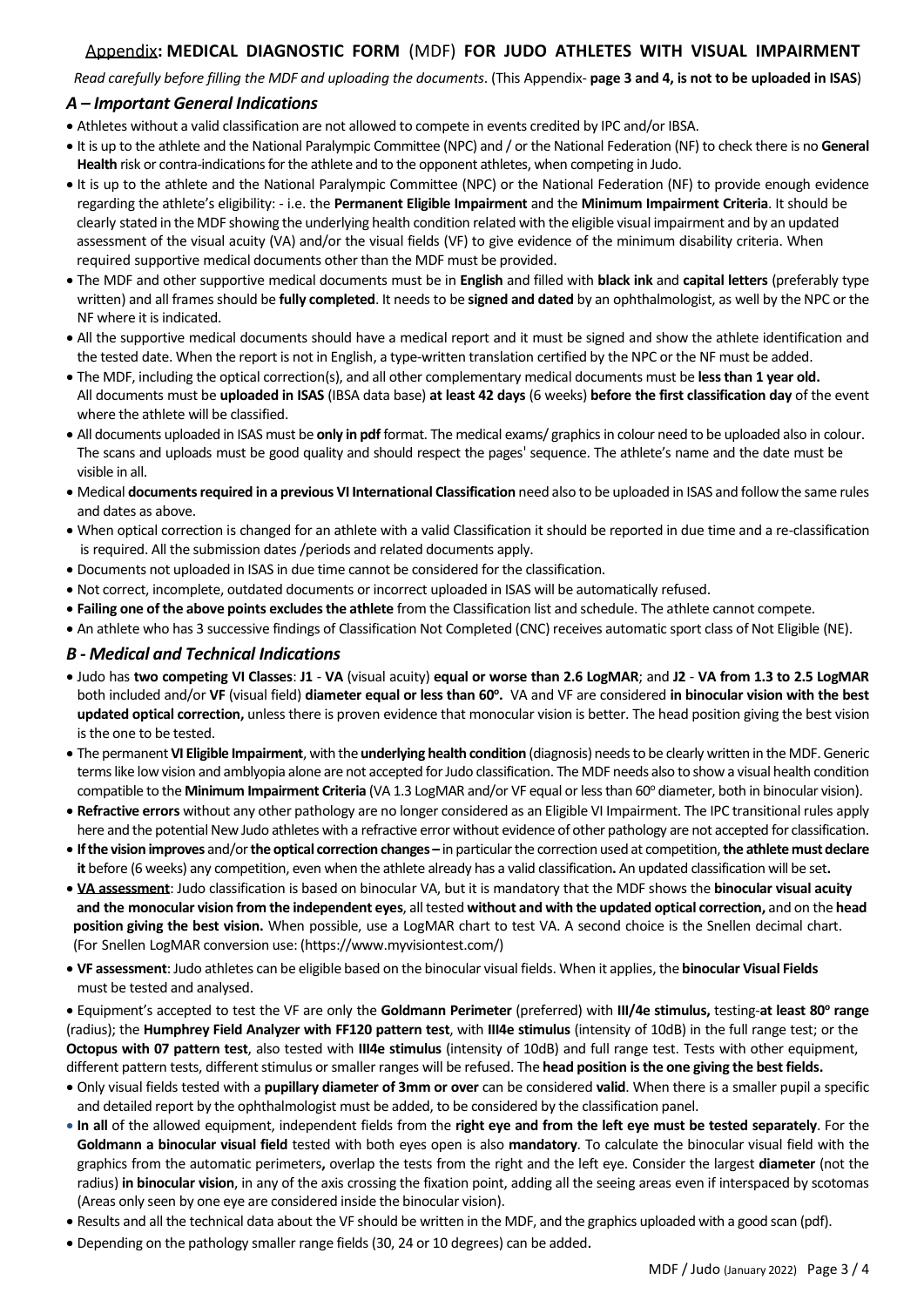## Appendix**: MEDICAL DIAGNOSTIC FORM** (MDF) **FOR JUDO ATHLETES WITH VISUAL IMPAIRMENT**

*Read carefully before filling the MDF and uploading the documents*. (This Appendix- **page 3 and 4, is not to be uploaded in ISAS**)

## *A – Important General Indications*

- Athletes without a valid classification are not allowed to compete in events credited by IPC and/or IBSA.
- It is up to the athlete and the National Paralympic Committee (NPC) and / or the National Federation (NF) to check there is no **General** Health risk or contra-indications for the athlete and to the opponent athletes, when competing in Judo.
- It is up to the athlete and the National Paralympic Committee (NPC) or the National Federation (NF) to provide enough evidence regarding the athlete's eligibility: - i.e. the **Permanent Eligible Impairment** and the **Minimum Impairment Criteria**. It should be clearly stated in the MDF showing the underlying health condition related with the eligible visual impairment and by an updated assessment of the visual acuity (VA) and/or the visual fields (VF) to give evidence of the minimum disability criteria. When required supportive medical documents other than the MDF must be provided.
- The MDF and other supportive medical documents must be in **English** and filled with **black ink** and **capital letters** (preferably type written) and all frames should be **fully completed**. It needs to be **signed and dated** by an ophthalmologist, as well by the NPC or the NF where it is indicated.
- All the supportive medical documents should have a medical report and it must be signed and show the athlete identification and the tested date. When the report is not in English, a type-written translation certified by the NPC or the NF must be added.
- The MDF, including the optical correction(s), and all other complementary medical documents must be **less than 1 year old.** All documents must be **uploaded in ISAS** (IBSA data base) **at least 42 days** (6 weeks) **before the first classification day** of the event where the athlete will be classified.
- All documents uploaded in ISAS must be **only in pdf** format. The medical exams/ graphics in colour need to be uploaded also in colour. The scans and uploads must be good quality and should respect the pages' sequence. The athlete's name and the date must be visible in all.
- Medical **documents required in a previous VI International Classification** need also to be uploaded in ISAS and follow the same rules and dates as above.
- When optical correction is changed for an athlete with a valid Classification it should be reported in due time and a re-classification is required. All the submission dates /periods and related documents apply.
- Documents not uploaded in ISAS in due time cannot be considered for the classification.
- Not correct, incomplete, outdated documents or incorrect uploaded in ISAS will be automatically refused.
- **Failing one of the above points excludesthe athlete** from the Classification list and schedule. The athlete cannot compete.
- An athlete who has 3 successive findings of Classification Not Completed (CNC) receives automatic sport class of Not Eligible (NE).

## *B - Medical and Technical Indications*

- Judo has **two competing VI Classes**: **J1 VA** (visual acuity) **equal or worse than 2.6 LogMAR**; and **J2 VA from 1.3 to 2.5 LogMAR** both included and/or **VF** (visual field) **diameter equal or less than 60<sup>o</sup> .** VA and VF are considered **in binocular vision with the best updated optical correction,** unless there is proven evidence that monocular vision is better. The head position giving the best vision is the one to be tested.
- The permanent **VI Eligible Impairment**, with the **underlying health condition** (diagnosis) needs to be clearly written in the MDF. Generic terms like low vision and amblyopia alone are not accepted for Judo classification. The MDF needs also to show a visual health condition compatible to the **Minimum Impairment Criteria** (VA 1.3 LogMAR and/or VF equal or less than 60° diameter, both in binocular vision).
- **Refractive errors** without any other pathology are no longer considered as an Eligible VI Impairment. The IPC transitional rules apply here and the potential New Judo athletes with a refractive error without evidence of other pathology are not accepted for classification.
- **Ifthe vision improves** and/or**the optical correction changes –** in particular the correction used at competition,**the athlete must declare it** before (6 weeks) any competition, even when the athlete already has a valid classification**.** An updated classification will be set**.**
- **VA assessment**: Judo classification is based on binocular VA, but it is mandatory that the MDF shows the **binocular visual acuity and the monocular vision from the independent eyes**, alltested **without and with the updated optical correction,** and on the **head position giving the best vision.** When possible, use a LogMAR chart to test VA. A second choice is the Snellen decimal chart. (For Snellen LogMAR conversion use: [\(https://www.myvisio](https://www.myvisiontest.com/)ntest.com/)
- **VF assessment**: Judo athletes can be eligible based on the binocular visual fields. When it applies, the **binocular Visual Fields** must be tested and analysed.
- Equipment's accepted to test the VF are only the **Goldmann Perimeter** (preferred) with **III/4e stimulus,** testing-**at least 80<sup>o</sup> range** (radius); the **Humphrey Field Analyzer with FF120 pattern test**, with **III4e stimulus** (intensity of 10dB) in the full range test; or the **Octopus with 07 pattern test**, also tested with **III4e stimulus** (intensity of 10dB) and full range test. Tests with other equipment, different pattern tests, different stimulus or smaller ranges will be refused. The **head position is the one giving the best fields.**
- Only visual fields tested with a **pupillary diameter of 3mm or over** can be considered **valid**. When there is a smaller pupil a specific and detailed report by the ophthalmologist must be added, to be considered by the classification panel.
- **In all** of the allowed equipment, independent fields from the **right eye and from the left eye must be tested separately**. For the **Goldmann a binocular visual field** tested with both eyes open is also **mandatory**. To calculate the binocular visual field with the graphics from the automatic perimeters**,** overlap the tests from the right and the left eye. Consider the largest **diameter** (not the radius) **in binocular vision**, in any of the axis crossing the fixation point, adding all the seeing areas even if interspaced by scotomas (Areas only seen by one eye are considered inside the binocular vision).
- Results and all the technical data about the VF should be written in the MDF, and the graphics uploaded with a good scan (pdf).
- Depending on the pathology smaller range fields (30, 24 or 10 degrees) can be added.